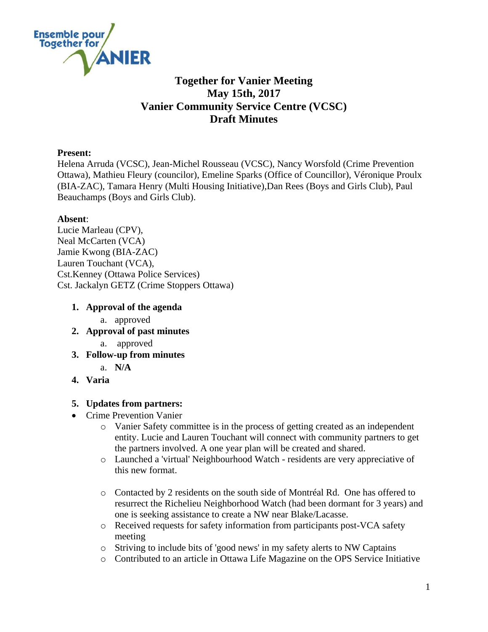

# **Together for Vanier Meeting May 15th, 2017 Vanier Community Service Centre (VCSC) Draft Minutes**

### **Present:**

Helena Arruda (VCSC), Jean-Michel Rousseau (VCSC), Nancy Worsfold (Crime Prevention Ottawa), Mathieu Fleury (councilor), Emeline Sparks (Office of Councillor), Véronique Proulx (BIA-ZAC), Tamara Henry (Multi Housing Initiative),Dan Rees (Boys and Girls Club), Paul Beauchamps (Boys and Girls Club).

### **Absent**:

Lucie Marleau (CPV), Neal McCarten (VCA) Jamie Kwong (BIA-ZAC) Lauren Touchant (VCA), Cst.Kenney (Ottawa Police Services) Cst. Jackalyn GETZ (Crime Stoppers Ottawa)

## **1. Approval of the agenda**

- a. approved
- **2. Approval of past minutes** 
	- a. approved
- **3. Follow-up from minutes**
	- a. **N/A**
- **4. Varia**

### **5. Updates from partners:**

- Crime Prevention Vanier
	- o Vanier Safety committee is in the process of getting created as an independent entity. Lucie and Lauren Touchant will connect with community partners to get the partners involved. A one year plan will be created and shared.
	- o Launched a 'virtual' Neighbourhood Watch residents are very appreciative of this new format.
	- o Contacted by 2 residents on the south side of Montréal Rd. One has offered to resurrect the Richelieu Neighborhood Watch (had been dormant for 3 years) and one is seeking assistance to create a NW near Blake/Lacasse.
	- o Received requests for safety information from participants post-VCA safety meeting
	- o Striving to include bits of 'good news' in my safety alerts to NW Captains
	- o Contributed to an article in Ottawa Life Magazine on the OPS Service Initiative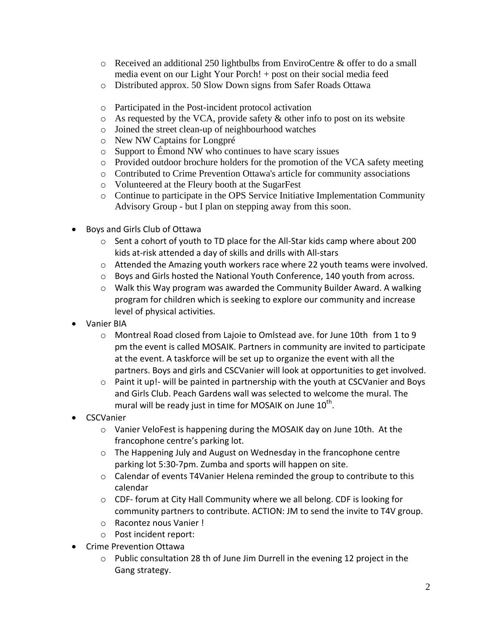- $\circ$  Received an additional 250 lightbulbs from EnviroCentre & offer to do a small media event on our Light Your Porch! + post on their social media feed
- o Distributed approx. 50 Slow Down signs from Safer Roads Ottawa
- o Participated in the Post-incident protocol activation
- $\circ$  As requested by the VCA, provide safety & other info to post on its website
- o Joined the street clean-up of neighbourhood watches
- o New NW Captains for Longpré
- o Support to Émond NW who continues to have scary issues
- o Provided outdoor brochure holders for the promotion of the VCA safety meeting
- o Contributed to Crime Prevention Ottawa's article for community associations
- o Volunteered at the Fleury booth at the SugarFest
- o Continue to participate in the OPS Service Initiative Implementation Community Advisory Group - but I plan on stepping away from this soon.
- Boys and Girls Club of Ottawa
	- o Sent a cohort of youth to TD place for the All-Star kids camp where about 200 kids at-risk attended a day of skills and drills with All-stars
	- $\circ$  Attended the Amazing youth workers race where 22 youth teams were involved.
	- o Boys and Girls hosted the National Youth Conference, 140 youth from across.
	- $\circ$  Walk this Way program was awarded the Community Builder Award. A walking program for children which is seeking to explore our community and increase level of physical activities.
- Vanier BIA
	- $\circ$  Montreal Road closed from Lajoie to Omlstead ave. for June 10th from 1 to 9 pm the event is called MOSAIK. Partners in community are invited to participate at the event. A taskforce will be set up to organize the event with all the partners. Boys and girls and CSCVanier will look at opportunities to get involved.
	- o Paint it up!- will be painted in partnership with the youth at CSCVanier and Boys and Girls Club. Peach Gardens wall was selected to welcome the mural. The mural will be ready just in time for MOSAIK on June  $10^{\text{th}}$ .
- **CSCVanier** 
	- $\circ$  Vanier VeloFest is happening during the MOSAIK day on June 10th. At the francophone centre's parking lot.
	- $\circ$  The Happening July and August on Wednesday in the francophone centre parking lot 5:30-7pm. Zumba and sports will happen on site.
	- $\circ$  Calendar of events T4Vanier Helena reminded the group to contribute to this calendar
	- o CDF- forum at City Hall Community where we all belong. CDF is looking for community partners to contribute. ACTION: JM to send the invite to T4V group.
	- o Racontez nous Vanier !
	- o Post incident report:
- Crime Prevention Ottawa
	- $\circ$  Public consultation 28 th of June Jim Durrell in the evening 12 project in the Gang strategy.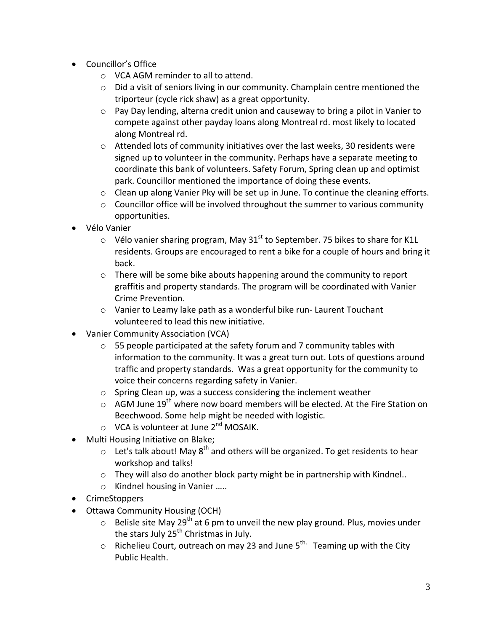- Councillor's Office
	- o VCA AGM reminder to all to attend.
	- o Did a visit of seniors living in our community. Champlain centre mentioned the triporteur (cycle rick shaw) as a great opportunity.
	- $\circ$  Pay Day lending, alterna credit union and causeway to bring a pilot in Vanier to compete against other payday loans along Montreal rd. most likely to located along Montreal rd.
	- $\circ$  Attended lots of community initiatives over the last weeks, 30 residents were signed up to volunteer in the community. Perhaps have a separate meeting to coordinate this bank of volunteers. Safety Forum, Spring clean up and optimist park. Councillor mentioned the importance of doing these events.
	- o Clean up along Vanier Pky will be set up in June. To continue the cleaning efforts.
	- $\circ$  Councillor office will be involved throughout the summer to various community opportunities.
- Vélo Vanier
	- $\circ$  Vélo vanier sharing program, May 31<sup>st</sup> to September. 75 bikes to share for K1L residents. Groups are encouraged to rent a bike for a couple of hours and bring it back.
	- $\circ$  There will be some bike abouts happening around the community to report graffitis and property standards. The program will be coordinated with Vanier Crime Prevention.
	- o Vanier to Leamy lake path as a wonderful bike run- Laurent Touchant volunteered to lead this new initiative.
- Vanier Community Association (VCA)
	- o 55 people participated at the safety forum and 7 community tables with information to the community. It was a great turn out. Lots of questions around traffic and property standards. Was a great opportunity for the community to voice their concerns regarding safety in Vanier.
	- o Spring Clean up, was a success considering the inclement weather
	- $\circ$  AGM June 19<sup>th</sup> where now board members will be elected. At the Fire Station on Beechwood. Some help might be needed with logistic.
	- $\circ$  VCA is volunteer at June 2<sup>nd</sup> MOSAIK.
- Multi Housing Initiative on Blake;
	- $\circ$  Let's talk about! May 8<sup>th</sup> and others will be organized. To get residents to hear workshop and talks!
	- $\circ$  They will also do another block party might be in partnership with Kindnel..
	- o Kindnel housing in Vanier …..
- CrimeStoppers
- Ottawa Community Housing (OCH)
	- $\circ$  Belisle site May 29<sup>th</sup> at 6 pm to unveil the new play ground. Plus, movies under the stars July  $25<sup>th</sup>$  Christmas in July.
	- $\circ$  Richelieu Court, outreach on may 23 and June  $5^{th}$  Teaming up with the City Public Health.